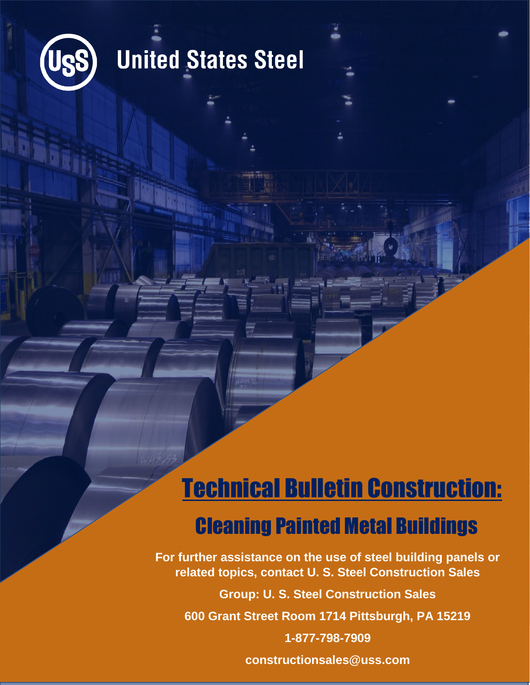

### **United States Steel**

### Technical Bulletin Construction: Cleaning Painted Metal Buildings

**For further assistance on the use of steel building panels or related topics, contact U. S. Steel Construction Sales**

**Group: U. S. Steel Construction Sales**

**600 Grant Street Room 1714 Pittsburgh, PA 15219**

**1-877-798-7909**

**constructionsales@uss.com**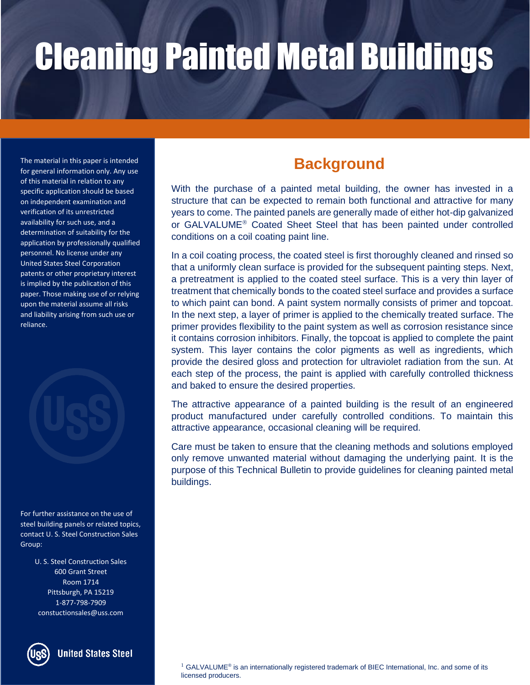The material in this paper is intended for general information only. Any use of this material in relation to any specific application should be based on independent examination and verification of its unrestricted availability for such use, and a determination of suitability for the application by professionally qualified personnel. No license under any United States Steel Corporation patents or other proprietary interest is implied by the publication of this paper. Those making use of or relying upon the material assume all risks and liability arising from such use or reliance.



For further assistance on the use of steel building panels or related topics, contact U. S. Steel Construction Sales Group:

> U. S. Steel Construction Sales 600 Grant Street Room 1714 Pittsburgh, PA 15219 1-877-798-7909 constuctionsales@uss.com



#### **United States Steel**

#### **Background**

With the purchase of a painted metal building, the owner has invested in a structure that can be expected to remain both functional and attractive for many years to come. The painted panels are generally made of either hot-dip galvanized or GALVALUME<sup>®</sup> Coated Sheet Steel that has been painted under controlled conditions on a coil coating paint line.

In a coil coating process, the coated steel is first thoroughly cleaned and rinsed so that a uniformly clean surface is provided for the subsequent painting steps. Next, a pretreatment is applied to the coated steel surface. This is a very thin layer of treatment that chemically bonds to the coated steel surface and provides a surface to which paint can bond. A paint system normally consists of primer and topcoat. In the next step, a layer of primer is applied to the chemically treated surface. The primer provides flexibility to the paint system as well as corrosion resistance since it contains corrosion inhibitors. Finally, the topcoat is applied to complete the paint system. This layer contains the color pigments as well as ingredients, which provide the desired gloss and protection for ultraviolet radiation from the sun. At each step of the process, the paint is applied with carefully controlled thickness and baked to ensure the desired properties.

The attractive appearance of a painted building is the result of an engineered product manufactured under carefully controlled conditions. To maintain this attractive appearance, occasional cleaning will be required.

Care must be taken to ensure that the cleaning methods and solutions employed only remove unwanted material without damaging the underlying paint. It is the purpose of this Technical Bulletin to provide guidelines for cleaning painted metal buildings.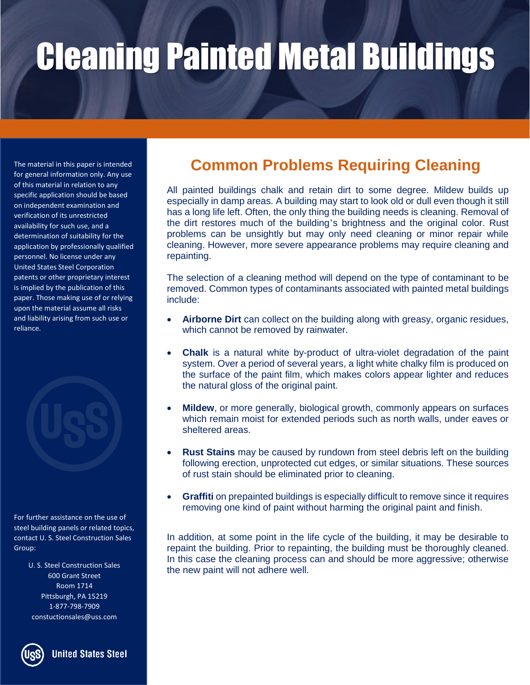of this material in relation to any specific application should be based on independent examination and verification of its unrestricted availability for such use, and a determination of suitability for the application by professionally qualified personnel. No license under any United States Steel Corporation patents or other proprietary interest is implied by the publication of this paper. Those making use of or relying upon the material assume all risks and liability arising from such use or reliance.

For further assistance on the use of steel building panels or related topics, contact U. S. Steel Construction Sales Group:

> U. S. Steel Construction Sales 600 Grant Street Room 1714 Pittsburgh, PA 15219 1-877-798-7909 constuctionsales@uss.com



### The material in this paper is intended **Common Problems Requiring Cleaning** for general information only. Any use

All painted buildings chalk and retain dirt to some degree. Mildew builds up especially in damp areas. A building may start to look old or dull even though it still has a long life left. Often, the only thing the building needs is cleaning. Removal of the dirt restores much of the building's brightness and the original color. Rust problems can be unsightly but may only need cleaning or minor repair while cleaning. However, more severe appearance problems may require cleaning and repainting.

The selection of a cleaning method will depend on the type of contaminant to be removed. Common types of contaminants associated with painted metal buildings include:

- **Airborne Dirt** can collect on the building along with greasy, organic residues, which cannot be removed by rainwater.
- **Chalk** is a natural white by-product of ultra-violet degradation of the paint system. Over a period of several years, a light white chalky film is produced on the surface of the paint film, which makes colors appear lighter and reduces the natural gloss of the original paint.
- **Mildew**, or more generally, biological growth, commonly appears on surfaces which remain moist for extended periods such as north walls, under eaves or sheltered areas.
- **Rust Stains** may be caused by rundown from steel debris left on the building following erection, unprotected cut edges, or similar situations. These sources of rust stain should be eliminated prior to cleaning.
- **Graffiti** on prepainted buildings is especially difficult to remove since it requires removing one kind of paint without harming the original paint and finish.

In addition, at some point in the life cycle of the building, it may be desirable to repaint the building. Prior to repainting, the building must be thoroughly cleaned. In this case the cleaning process can and should be more aggressive; otherwise the new paint will not adhere well.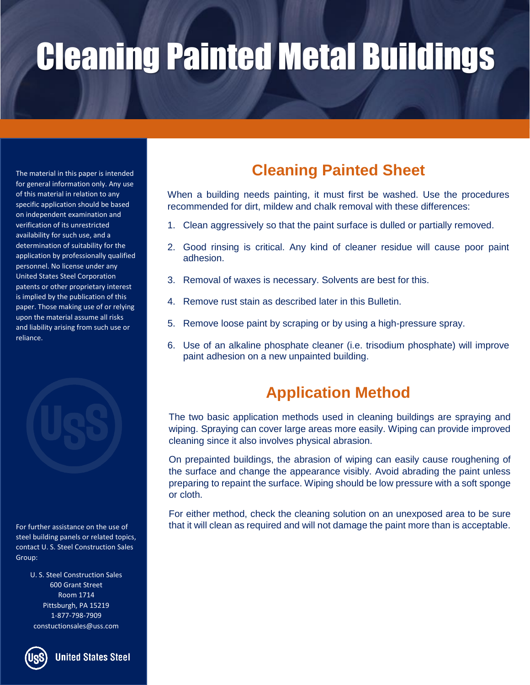The material in this paper is intended for general information only. Any use of this material in relation to any specific application should be based on independent examination and verification of its unrestricted availability for such use, and a determination of suitability for the application by professionally qualified personnel. No license under any United States Steel Corporation patents or other proprietary interest is implied by the publication of this paper. Those making use of or relying upon the material assume all risks and liability arising from such use or reliance.

For further assistance on the use of steel building panels or related topics, contact U. S. Steel Construction Sales Group:

> U. S. Steel Construction Sales 600 Grant Street Room 1714 Pittsburgh, PA 15219 1-877-798-7909 constuctionsales@uss.com



**United States Steel** 

#### **Cleaning Painted Sheet**

When a building needs painting, it must first be washed. Use the procedures recommended for dirt, mildew and chalk removal with these differences:

- 1. Clean aggressively so that the paint surface is dulled or partially removed.
- 2. Good rinsing is critical. Any kind of cleaner residue will cause poor paint adhesion.
- 3. Removal of waxes is necessary. Solvents are best for this.
- 4. Remove rust stain as described later in this Bulletin.
- 5. Remove loose paint by scraping or by using a high-pressure spray.
- 6. Use of an alkaline phosphate cleaner (i.e. trisodium phosphate) will improve paint adhesion on a new unpainted building.

#### **Application Method**

The two basic application methods used in cleaning buildings are spraying and wiping. Spraying can cover large areas more easily. Wiping can provide improved cleaning since it also involves physical abrasion.

On prepainted buildings, the abrasion of wiping can easily cause roughening of the surface and change the appearance visibly. Avoid abrading the paint unless preparing to repaint the surface. Wiping should be low pressure with a soft sponge or cloth.

For either method, check the cleaning solution on an unexposed area to be sure that it will clean as required and will not damage the paint more than is acceptable.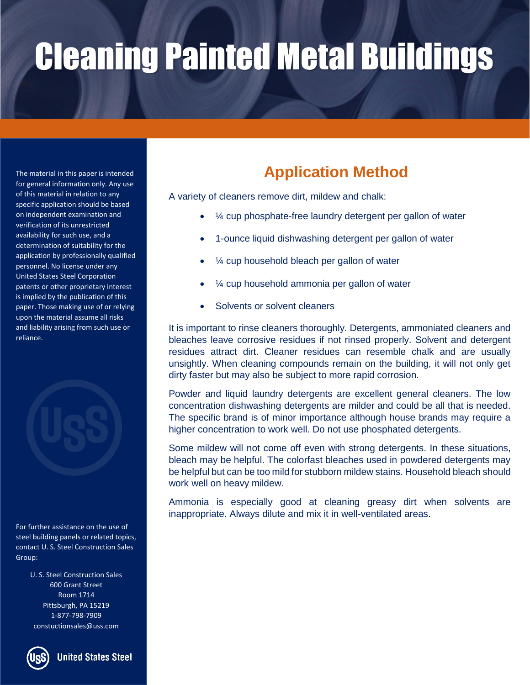The material in this paper is intended for general information only. Any use of this material in relation to any specific application should be based on independent examination and verification of its unrestricted availability for such use, and a determination of suitability for the application by professionally qualified personnel. No license under any United States Steel Corporation patents or other proprietary interest is implied by the publication of this paper. Those making use of or relying upon the material assume all risks and liability arising from such use or reliance.



For further assistance on the use of steel building panels or related topics, contact U. S. Steel Construction Sales Group:

> U. S. Steel Construction Sales 600 Grant Street Room 1714 Pittsburgh, PA 15219 1-877-798-7909 constuctionsales@uss.com



**United States Steel** 

### **Application Method**

A variety of cleaners remove dirt, mildew and chalk:

- $%$   $\mathcal{V}_{4}$  cup phosphate-free laundry detergent per gallon of water
- 1-ounce liquid dishwashing detergent per gallon of water
- $\frac{1}{4}$  cup household bleach per gallon of water
- ¼ cup household ammonia per gallon of water
- Solvents or solvent cleaners

It is important to rinse cleaners thoroughly. Detergents, ammoniated cleaners and bleaches leave corrosive residues if not rinsed properly. Solvent and detergent residues attract dirt. Cleaner residues can resemble chalk and are usually unsightly. When cleaning compounds remain on the building, it will not only get dirty faster but may also be subject to more rapid corrosion.

Powder and liquid laundry detergents are excellent general cleaners. The low concentration dishwashing detergents are milder and could be all that is needed. The specific brand is of minor importance although house brands may require a higher concentration to work well. Do not use phosphated detergents.

Some mildew will not come off even with strong detergents. In these situations, bleach may be helpful. The colorfast bleaches used in powdered detergents may be helpful but can be too mild for stubborn mildew stains. Household bleach should work well on heavy mildew.

Ammonia is especially good at cleaning greasy dirt when solvents are inappropriate. Always dilute and mix it in well-ventilated areas.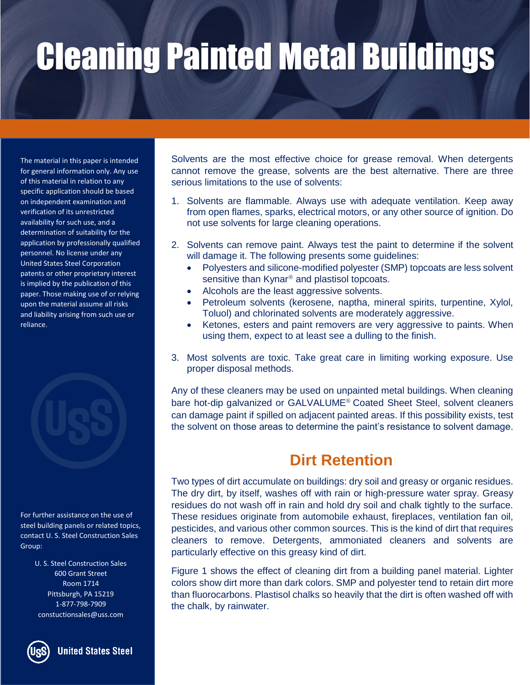The material in this paper is intended for general information only. Any use of this material in relation to any specific application should be based on independent examination and verification of its unrestricted availability for such use, and a determination of suitability for the application by professionally qualified personnel. No license under any United States Steel Corporation patents or other proprietary interest is implied by the publication of this paper. Those making use of or relying upon the material assume all risks and liability arising from such use or reliance.



For further assistance on the use of steel building panels or related topics, contact U. S. Steel Construction Sales Group:

> U. S. Steel Construction Sales 600 Grant Street Room 1714 Pittsburgh, PA 15219 1-877-798-7909 constuctionsales@uss.com

**United States Steel** 

Solvents are the most effective choice for grease removal. When detergents cannot remove the grease, solvents are the best alternative. There are three serious limitations to the use of solvents:

- 1. Solvents are flammable. Always use with adequate ventilation. Keep away from open flames, sparks, electrical motors, or any other source of ignition. Do not use solvents for large cleaning operations.
- 2. Solvents can remove paint. Always test the paint to determine if the solvent will damage it. The following presents some guidelines:
	- Polyesters and silicone-modified polyester (SMP) topcoats are less solvent sensitive than Kynar<sup>®</sup> and plastisol topcoats.
	- Alcohols are the least aggressive solvents.
	- Petroleum solvents (kerosene, naptha, mineral spirits, turpentine, Xylol, Toluol) and chlorinated solvents are moderately aggressive.
	- Ketones, esters and paint removers are very aggressive to paints. When using them, expect to at least see a dulling to the finish.
- 3. Most solvents are toxic. Take great care in limiting working exposure. Use proper disposal methods.

Any of these cleaners may be used on unpainted metal buildings. When cleaning bare hot-dip galvanized or GALVALUME<sup>®</sup> Coated Sheet Steel, solvent cleaners can damage paint if spilled on adjacent painted areas. If this possibility exists, test the solvent on those areas to determine the paint's resistance to solvent damage.

#### **Dirt Retention**

Two types of dirt accumulate on buildings: dry soil and greasy or organic residues. The dry dirt, by itself, washes off with rain or high-pressure water spray. Greasy residues do not wash off in rain and hold dry soil and chalk tightly to the surface. These residues originate from automobile exhaust, fireplaces, ventilation fan oil, pesticides, and various other common sources. This is the kind of dirt that requires cleaners to remove. Detergents, ammoniated cleaners and solvents are particularly effective on this greasy kind of dirt.

Figure 1 shows the effect of cleaning dirt from a building panel material. Lighter colors show dirt more than dark colors. SMP and polyester tend to retain dirt more than fluorocarbons. Plastisol chalks so heavily that the dirt is often washed off with the chalk, by rainwater.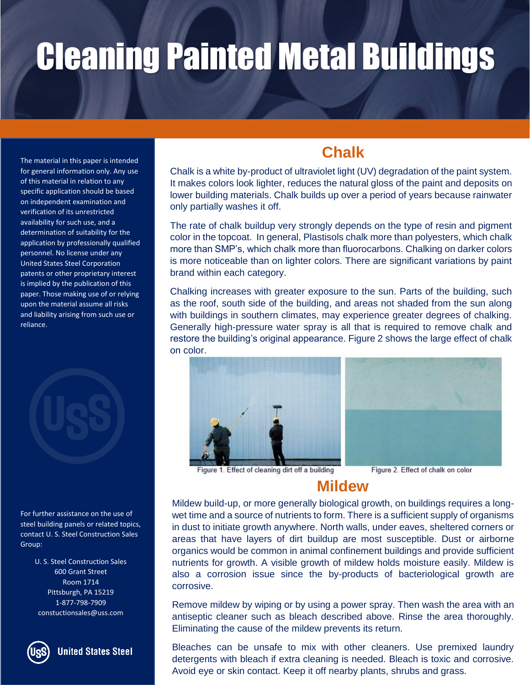The material in this paper is intended for general information only. Any use of this material in relation to any specific application should be based on independent examination and verification of its unrestricted availability for such use, and a determination of suitability for the application by professionally qualified personnel. No license under any United States Steel Corporation patents or other proprietary interest is implied by the publication of this paper. Those making use of or relying upon the material assume all risks and liability arising from such use or reliance.



For further assistance on the use of steel building panels or related topics, contact U. S. Steel Construction Sales Group:

> U. S. Steel Construction Sales 600 Grant Street Room 1714 Pittsburgh, PA 15219 1-877-798-7909 constuctionsales@uss.com



**United States Steel** 

#### **Chalk**

Chalk is a white by-product of ultraviolet light (UV) degradation of the paint system. It makes colors look lighter, reduces the natural gloss of the paint and deposits on lower building materials. Chalk builds up over a period of years because rainwater only partially washes it off.

The rate of chalk buildup very strongly depends on the type of resin and pigment color in the topcoat. In general, Plastisols chalk more than polyesters, which chalk more than SMP's, which chalk more than fluorocarbons. Chalking on darker colors is more noticeable than on lighter colors. There are significant variations by paint brand within each category.

Chalking increases with greater exposure to the sun. Parts of the building, such as the roof, south side of the building, and areas not shaded from the sun along with buildings in southern climates, may experience greater degrees of chalking. Generally high-pressure water spray is all that is required to remove chalk and restore the building's original appearance. Figure 2 shows the large effect of chalk on color.





Figure 1. Effect of cleaning dirt off a building

Figure 2. Effect of chalk on color

#### **Mildew**

Mildew build-up, or more generally biological growth, on buildings requires a longwet time and a source of nutrients to form. There is a sufficient supply of organisms in dust to initiate growth anywhere. North walls, under eaves, sheltered corners or areas that have layers of dirt buildup are most susceptible. Dust or airborne organics would be common in animal confinement buildings and provide sufficient nutrients for growth. A visible growth of mildew holds moisture easily. Mildew is also a corrosion issue since the by-products of bacteriological growth are corrosive.

Remove mildew by wiping or by using a power spray. Then wash the area with an antiseptic cleaner such as bleach described above. Rinse the area thoroughly. Eliminating the cause of the mildew prevents its return.

Bleaches can be unsafe to mix with other cleaners. Use premixed laundry detergents with bleach if extra cleaning is needed. Bleach is toxic and corrosive. Avoid eye or skin contact. Keep it off nearby plants, shrubs and grass.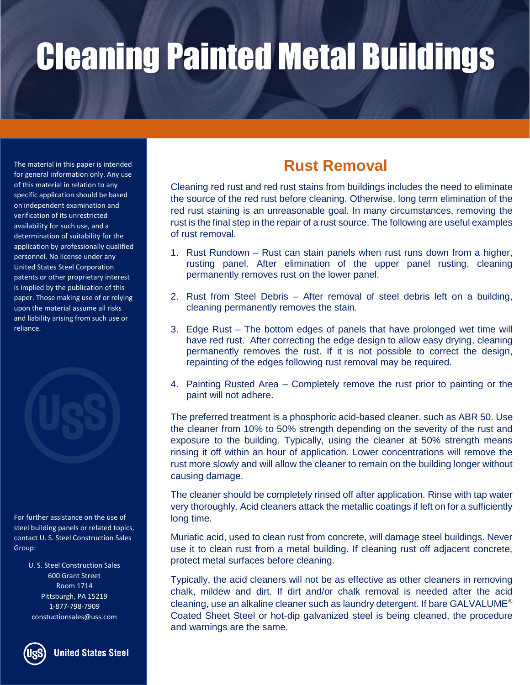The material in this paper is intended for general information only. Any use of this material in relation to any specific application should be based on independent examination and verification of its unrestricted availability for such use, and a determination of suitability for the application by professionally qualified personnel. No license under any United States Steel Corporation patents or other proprietary interest is implied by the publication of this paper. Those making use of or relying upon the material assume all risks and liability arising from such use or reliance.

For further assistance on the use of steel building panels or related topics, contact U. S. Steel Construction Sales Group:

> U. S. Steel Construction Sales 600 Grant Street Room 1714 Pittsburgh, PA 15219 1-877-798-7909 constuctionsales@uss.com



**United States Steel** 

#### **Rust Removal**

Cleaning red rust and red rust stains from buildings includes the need to eliminate the source of the red rust before cleaning. Otherwise, long term elimination of the red rust staining is an unreasonable goal. In many circumstances, removing the rust is the final step in the repair of a rust source. The following are useful examples of rust removal.

- 1. Rust Rundown Rust can stain panels when rust runs down from a higher, rusting panel. After elimination of the upper panel rusting, cleaning permanently removes rust on the lower panel.
- 2. Rust from Steel Debris After removal of steel debris left on a building, cleaning permanently removes the stain.
- 3. Edge Rust The bottom edges of panels that have prolonged wet time will have red rust. After correcting the edge design to allow easy drying, cleaning permanently removes the rust. If it is not possible to correct the design, repainting of the edges following rust removal may be required.
- 4. Painting Rusted Area Completely remove the rust prior to painting or the paint will not adhere.

The preferred treatment is a phosphoric acid-based cleaner, such as ABR 50. Use the cleaner from 10% to 50% strength depending on the severity of the rust and exposure to the building. Typically, using the cleaner at 50% strength means rinsing it off within an hour of application. Lower concentrations will remove the rust more slowly and will allow the cleaner to remain on the building longer without causing damage.

The cleaner should be completely rinsed off after application. Rinse with tap water very thoroughly. Acid cleaners attack the metallic coatings if left on for a sufficiently long time.

Muriatic acid, used to clean rust from concrete, will damage steel buildings. Never use it to clean rust from a metal building. If cleaning rust off adjacent concrete, protect metal surfaces before cleaning.

Typically, the acid cleaners will not be as effective as other cleaners in removing chalk, mildew and dirt. If dirt and/or chalk removal is needed after the acid cleaning, use an alkaline cleaner such as laundry detergent. If bare GALVALUME<sup>®</sup> Coated Sheet Steel or hot-dip galvanized steel is being cleaned, the procedure and warnings are the same.